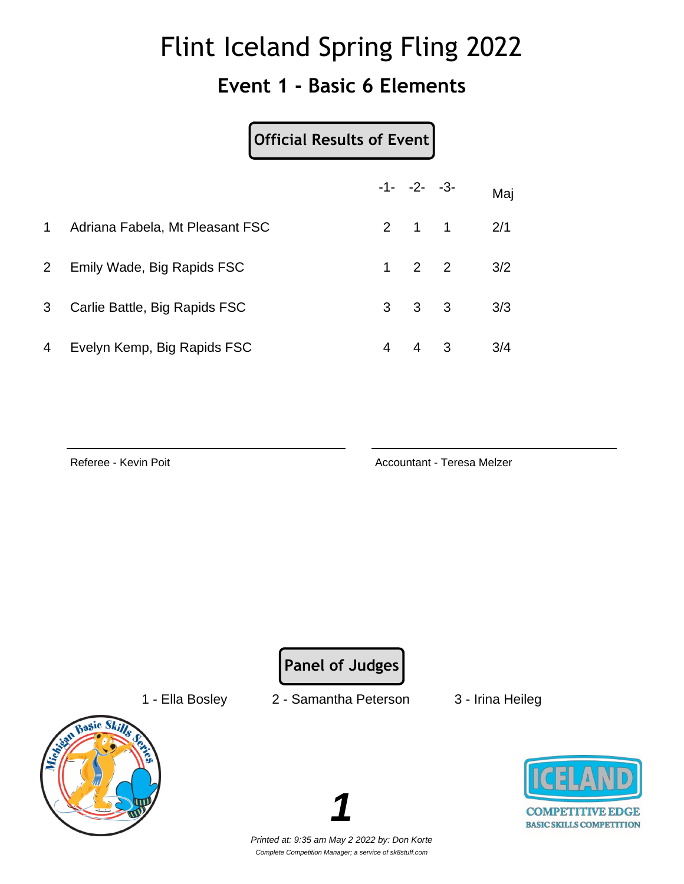### **Event 1 - Basic 6 Elements**

|                | Official Results of Event       |                |                     |   |     |
|----------------|---------------------------------|----------------|---------------------|---|-----|
|                |                                 |                | $-1 - -2 - -3$      |   | Maj |
| $\mathbf 1$    | Adriana Fabela, Mt Pleasant FSC |                | $2 \quad 1 \quad 1$ |   | 2/1 |
| $\overline{2}$ | Emily Wade, Big Rapids FSC      | $\mathbf{1}$   | $2 \quad 2$         |   | 3/2 |
| 3              | Carlie Battle, Big Rapids FSC   | 3 <sup>1</sup> | $3 \quad 3$         |   | 3/3 |
| 4              | Evelyn Kemp, Big Rapids FSC     | 4              | $\overline{4}$      | 3 | 3/4 |

Referee - Kevin Poit **Accountant - Teresa Melzer** Accountant - Teresa Melzer

**Panel of Judges**

1 - Ella Bosley 2 - Samantha Peterson 3 - Irina Heileg



**COMPETITIVE EDGE BASIC SKILLS COMPETITION** 

Printed at: 9:35 am May 2 2022 by: Don Korte Complete Competition Manager; a service of sk8stuff.com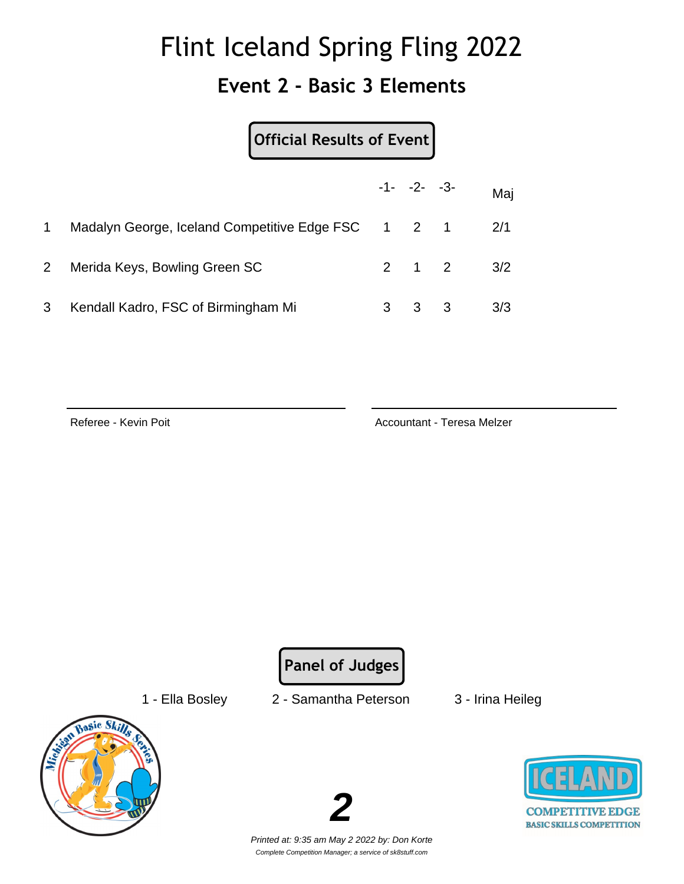#### **Event 2 - Basic 3 Elements**

|                | Official Results of Event                          |   |                         |     |  |  |
|----------------|----------------------------------------------------|---|-------------------------|-----|--|--|
|                |                                                    |   | $-1 - -2 - -3$          | Maj |  |  |
|                | Madalyn George, Iceland Competitive Edge FSC 1 2 1 |   |                         | 2/1 |  |  |
| 2 <sup>1</sup> | Merida Keys, Bowling Green SC                      |   | $2 \quad 1 \quad 2$     | 3/2 |  |  |
| 3              | Kendall Kadro, FSC of Birmingham Mi                | 3 | $\overline{\mathbf{3}}$ | 3/3 |  |  |

Referee - Kevin Poit **Accountant - Teresa Melzer** Accountant - Teresa Melzer

**Panel of Judges**

- 
- 1 Ella Bosley 2 Samantha Peterson 3 Irina Heileg
	-





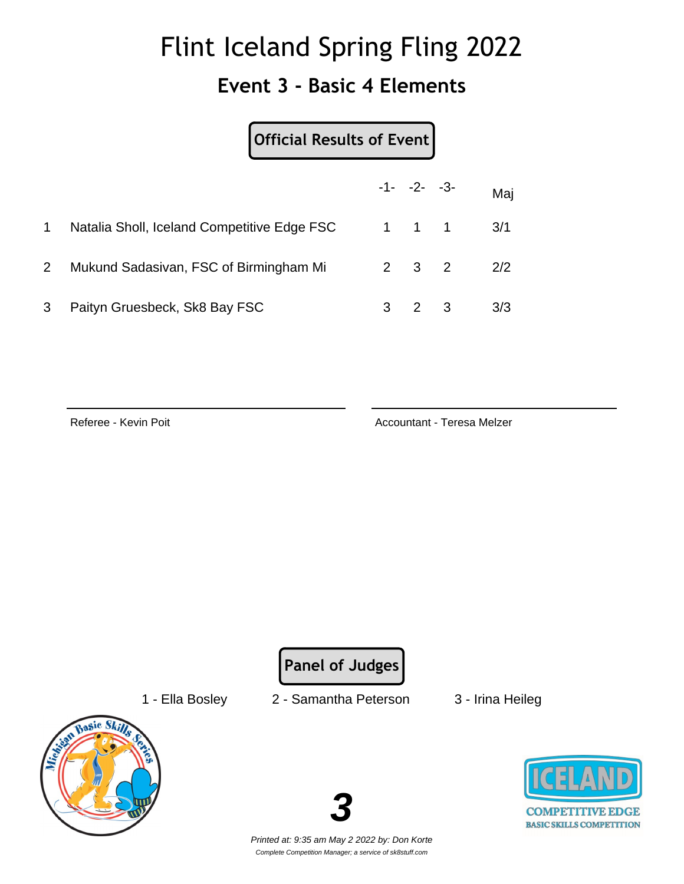### **Event 3 - Basic 4 Elements**

|                |                                             | Official Results of Event |                     |                         |     |
|----------------|---------------------------------------------|---------------------------|---------------------|-------------------------|-----|
|                |                                             |                           | $-1 - -2 - -3$      |                         | Maj |
| 1              | Natalia Sholl, Iceland Competitive Edge FSC |                           | $1 \quad 1 \quad 1$ |                         | 3/1 |
| $\overline{2}$ | Mukund Sadasivan, FSC of Birmingham Mi      |                           | $2 \quad 3 \quad 2$ |                         | 2/2 |
| 3              | Paityn Gruesbeck, Sk8 Bay FSC               | 3                         | 2                   | $\overline{\mathbf{3}}$ | 3/3 |

Referee - Kevin Poit **Accountant - Teresa Melzer** Accountant - Teresa Melzer

**Panel of Judges**

- 
- 1 Ella Bosley 2 Samantha Peterson 3 Irina Heileg
	-





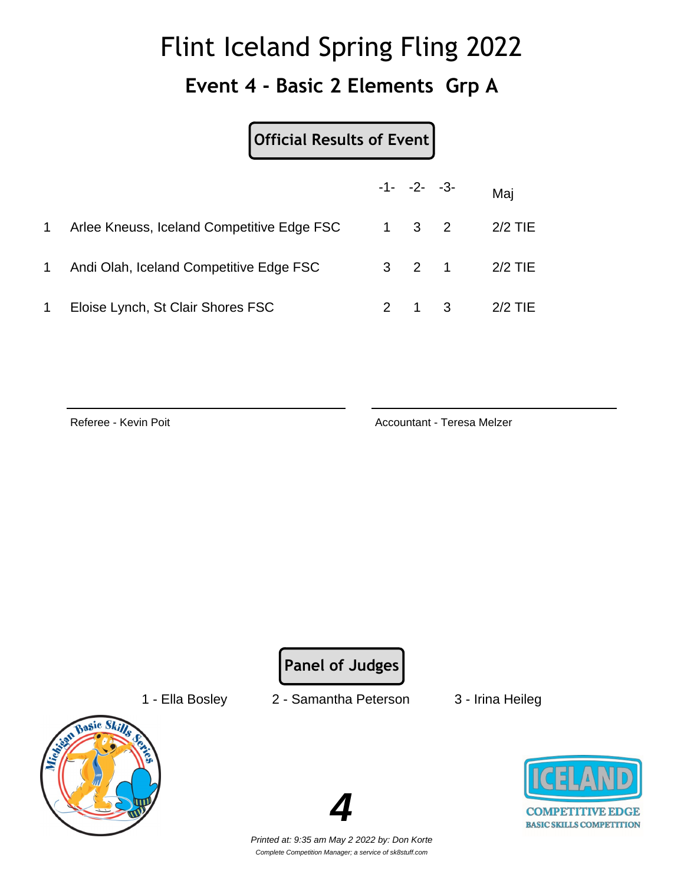#### **Event 4 - Basic 2 Elements Grp A**

#### **Official Results of Event**

|    |                                            | $-1 - -2 - -3$ |                     | Mai           |
|----|--------------------------------------------|----------------|---------------------|---------------|
|    | Arlee Kneuss, Iceland Competitive Edge FSC |                | $1 \quad 3 \quad 2$ | 2/2 TIE       |
| 1. | Andi Olah, Iceland Competitive Edge FSC    |                |                     | 3 2 1 2/2 TIE |
| 1  | Eloise Lynch, St Clair Shores FSC          |                | $2 \quad 1 \quad 3$ | $2/2$ TIE     |

Referee - Kevin Poit **Accountant - Teresa Melzer** Accountant - Teresa Melzer

**Panel of Judges**

- 
- 1 Ella Bosley 2 Samantha Peterson 3 Irina Heileg
	-







Printed at: 9:35 am May 2 2022 by: Don Korte Complete Competition Manager; a service of sk8stuff.com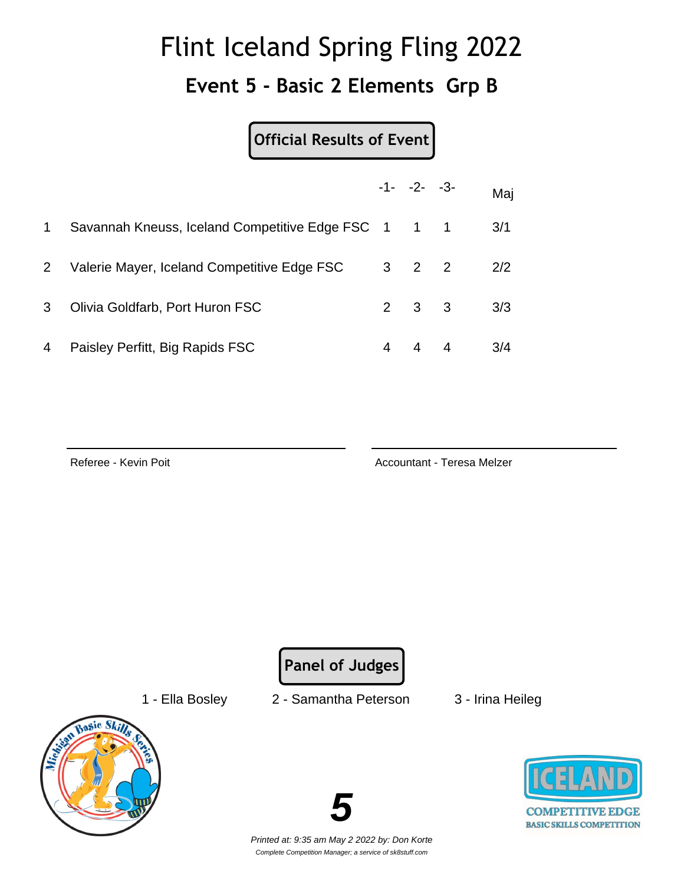#### **Event 5 - Basic 2 Elements Grp B**

**Official Results of Event**

|              |                                                 |   | $-1 - -2 - -3$      | Maj |
|--------------|-------------------------------------------------|---|---------------------|-----|
| $\mathbf 1$  | Savannah Kneuss, Iceland Competitive Edge FSC 1 |   | $1 \quad 1$         | 3/1 |
| $\mathbf{2}$ | Valerie Mayer, Iceland Competitive Edge FSC     |   | $3 \quad 2 \quad 2$ | 2/2 |
| 3            | Olivia Goldfarb, Port Huron FSC                 |   | $2 \quad 3 \quad 3$ | 3/3 |
| 4            | Paisley Perfitt, Big Rapids FSC                 | 4 | 4 4                 | 3/4 |

Referee - Kevin Poit **Accountant - Teresa Melzer** Accountant - Teresa Melzer

**Panel of Judges**

- 
- 1 Ella Bosley 2 Samantha Peterson 3 Irina Heileg
	-





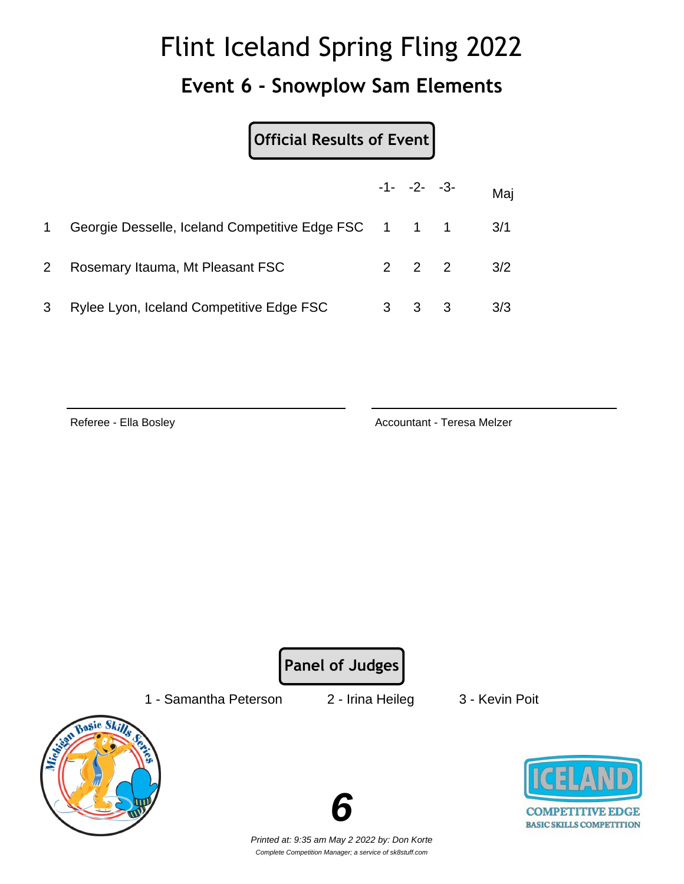#### **Event 6 - Snowplow Sam Elements**

**Official Results of Event**

|                |                                                      | $-1 - -2 - -3$      | Maj |
|----------------|------------------------------------------------------|---------------------|-----|
|                | Georgie Desselle, Iceland Competitive Edge FSC 1 1 1 |                     | 3/1 |
| 2 <sup>1</sup> | Rosemary Itauma, Mt Pleasant FSC                     | $2 \quad 2 \quad 2$ | 3/2 |
| 3              | Rylee Lyon, Iceland Competitive Edge FSC             | $3 \quad 3 \quad 3$ | 3/3 |

Referee - Ella Bosley **Accountant - Teresa Melzer** Accountant - Teresa Melzer

**Panel of Judges**

1 - Samantha Peterson 2 - Irina Heileg 3 - Kevin Poit





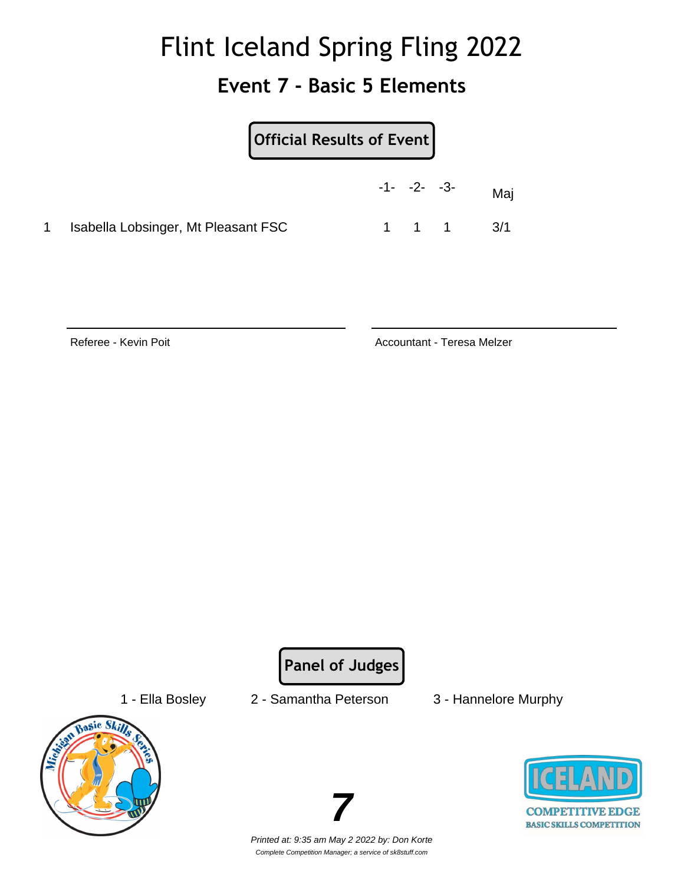### **Event 7 - Basic 5 Elements**

| Official Results of Event           |                |                     |     |
|-------------------------------------|----------------|---------------------|-----|
|                                     | $-1 - -2 - -3$ |                     | Maj |
| Isabella Lobsinger, Mt Pleasant FSC |                | $1 \quad 1 \quad 1$ | 3/1 |

Referee - Kevin Poit **Accountant - Teresa Melzer** Accountant - Teresa Melzer

**Panel of Judges**



- 1 Ella Bosley 2 Samantha Peterson 3 Hannelore Murphy
	-





Printed at: 9:35 am May 2 2022 by: Don Korte Complete Competition Manager; a service of sk8stuff.com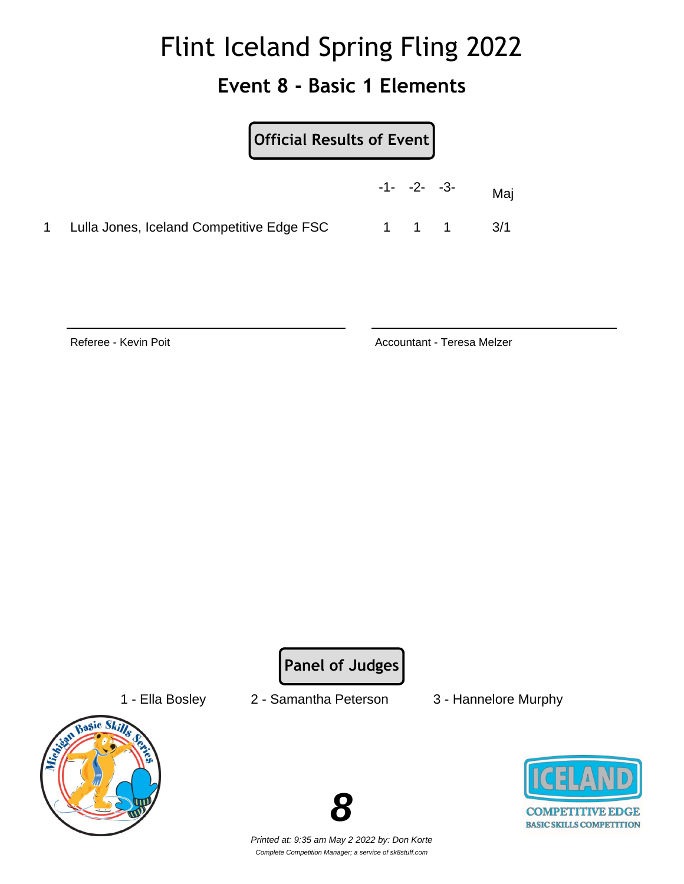### **Event 8 - Basic 1 Elements**

| $[$ Official Results of Event $]$         |                |  |                               |
|-------------------------------------------|----------------|--|-------------------------------|
|                                           | $-1 - -2 - -3$ |  | Mai                           |
| Lulla Jones, Iceland Competitive Edge FSC |                |  | $1 \quad 1 \quad 1 \quad 3/1$ |

Referee - Kevin Poit **Accountant - Teresa Melzer** Accountant - Teresa Melzer

**Panel of Judges**



- 1 Ella Bosley 2 Samantha Peterson 3 Hannelore Murphy
	-



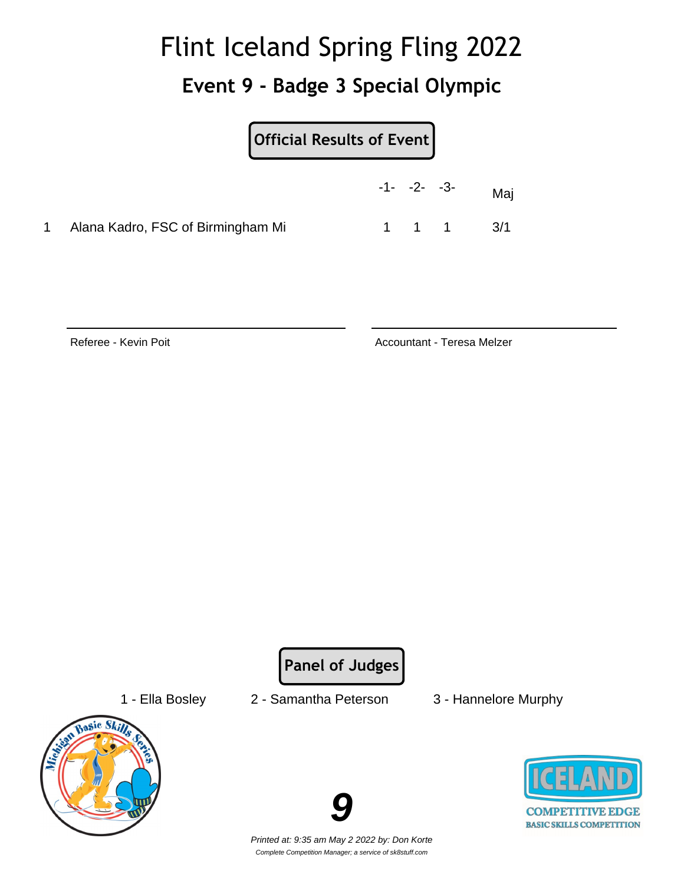### **Event 9 - Badge 3 Special Olympic**

|                                     | $-1 - -2 - -3$ | Maj |
|-------------------------------------|----------------|-----|
| 1 Alana Kadro, FSC of Birmingham Mi | 1 1 1          | 3/1 |

Referee - Kevin Poit **Accountant - Teresa Melzer** Accountant - Teresa Melzer

**Panel of Judges**



- 1 Ella Bosley 2 Samantha Peterson 3 Hannelore Murphy
	-



**COMPETITIVE EDGE BASIC SKILLS COMPETITION**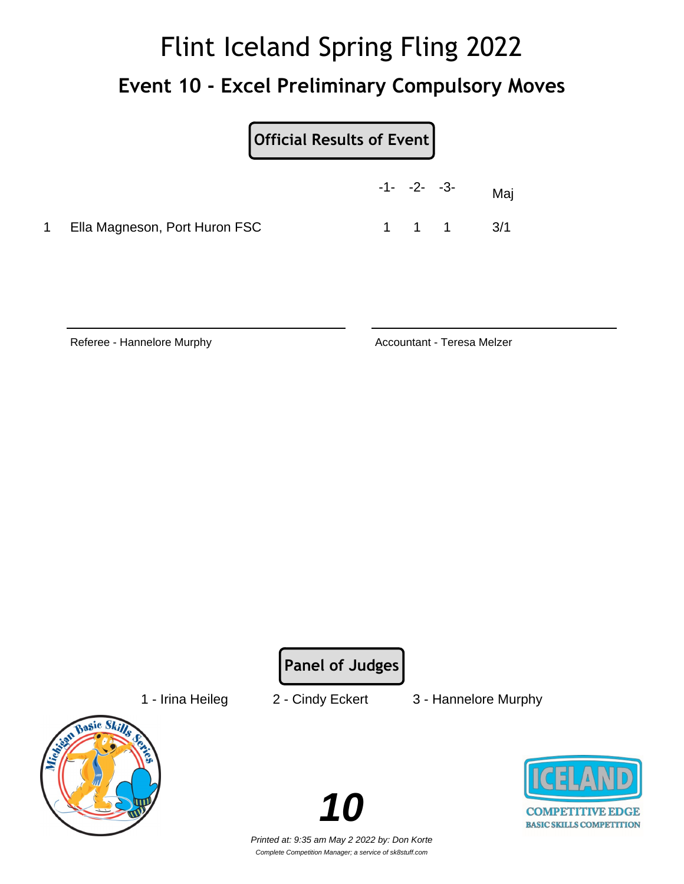## Flint Iceland Spring Fling 2022 **Event 10 - Excel Preliminary Compulsory Moves**

|           |                               | $-1 - -2 - -3$ |       | Maj |
|-----------|-------------------------------|----------------|-------|-----|
| $1 \quad$ | Ella Magneson, Port Huron FSC |                | 1 1 1 | 3/1 |

Referee - Hannelore Murphy **Accountant - Teresa Melzer** Accountant - Teresa Melzer

**Panel of Judges**

1 - Irina Heileg 2 - Cindy Eckert 3 - Hannelore Murphy



**10**

**COMPETITIVE EDGE BASIC SKILLS COMPETITION**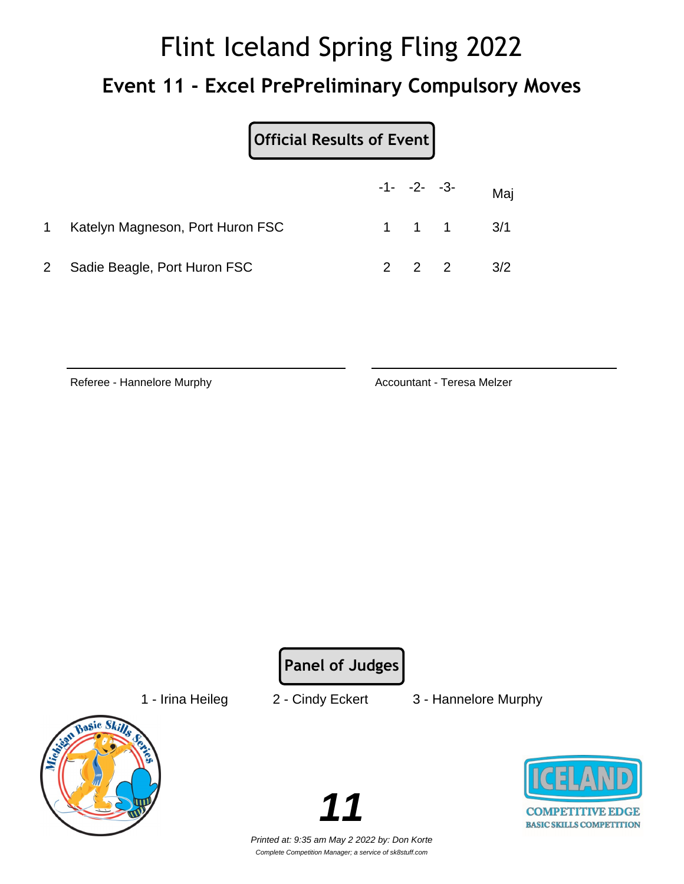## Flint Iceland Spring Fling 2022 **Event 11 - Excel PrePreliminary Compulsory Moves**

|                                  | Official Results of Event |  |                               |     |
|----------------------------------|---------------------------|--|-------------------------------|-----|
|                                  |                           |  | $-1 - -2 - -3$                | Maj |
| Katelyn Magneson, Port Huron FSC |                           |  | $1 \quad 1 \quad 1 \quad 3/1$ |     |
| Sadie Beagle, Port Huron FSC     |                           |  | $2 \t2 \t2 \t3/2$             |     |

Referee - Hannelore Murphy **Accountant - Teresa Melzer** Accountant - Teresa Melzer

**Panel of Judges**

1 - Irina Heileg 2 - Cindy Eckert 3 - Hannelore Murphy



**COMPETITIVE EDGE BASIC SKILLS COMPETITION** 

Printed at: 9:35 am May 2 2022 by: Don Korte Complete Competition Manager; a service of sk8stuff.com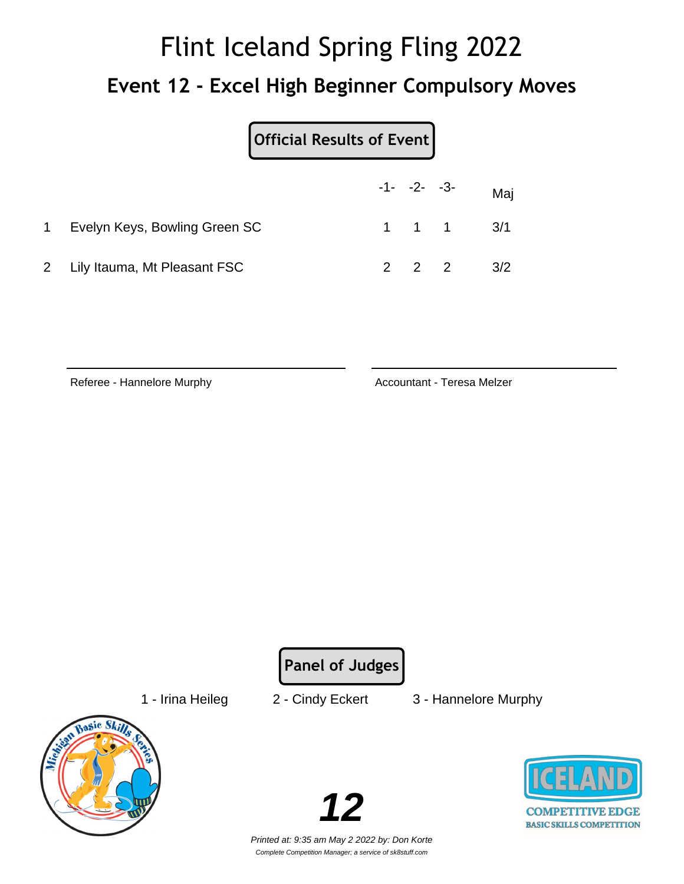# Flint Iceland Spring Fling 2022 **Event 12 - Excel High Beginner Compulsory Moves**

|                                | Official Results of Event |                |  |                               |
|--------------------------------|---------------------------|----------------|--|-------------------------------|
|                                |                           | $-1 - -2 - -3$ |  | Maj                           |
| Evelyn Keys, Bowling Green SC  |                           |                |  | $1 \quad 1 \quad 1 \quad 3/1$ |
| 2 Lily Itauma, Mt Pleasant FSC |                           |                |  | 3/2                           |

Referee - Hannelore Murphy **Accountant - Teresa Melzer** Accountant - Teresa Melzer

**Panel of Judges**

1 - Irina Heileg 2 - Cindy Eckert 3 - Hannelore Murphy



**12**

**COMPETITIVE EDGE BASIC SKILLS COMPETITION**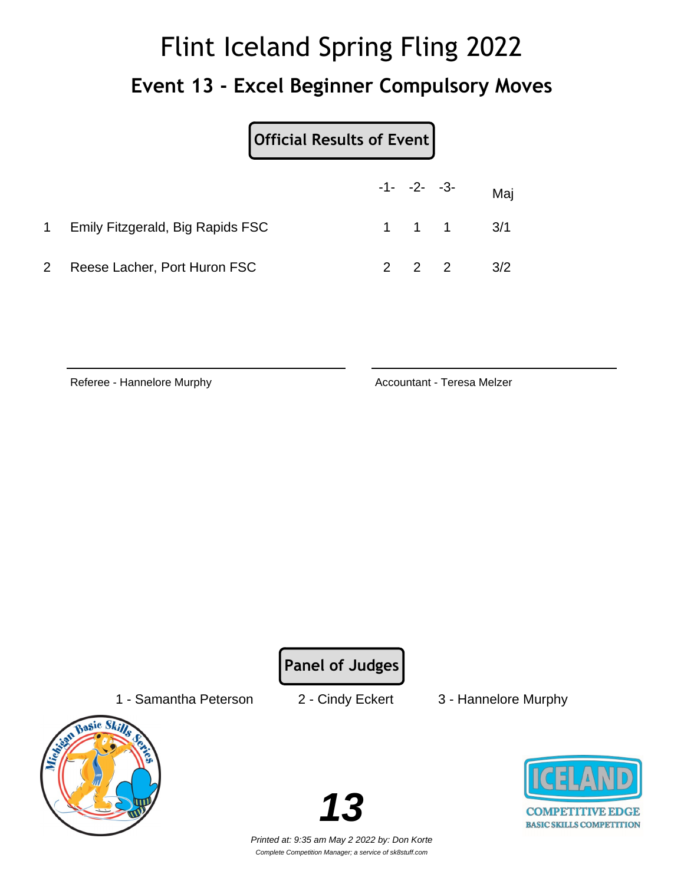# Flint Iceland Spring Fling 2022 **Event 13 - Excel Beginner Compulsory Moves**

|                                  | Official Results of Event |                     |                               |     |
|----------------------------------|---------------------------|---------------------|-------------------------------|-----|
|                                  |                           |                     | $-1 - -2 - -3$                | Maj |
| Emily Fitzgerald, Big Rapids FSC |                           |                     | $1 \quad 1 \quad 1 \quad 3/1$ |     |
| Reese Lacher, Port Huron FSC     |                           | $2 \quad 2 \quad 2$ |                               | 3/2 |

Referee - Hannelore Murphy **Accountant - Teresa Melzer** Accountant - Teresa Melzer

**Panel of Judges**

1 - Samantha Peterson 2 - Cindy Eckert 3 - Hannelore Murphy



**13**

**COMPETITIVE EDGE BASIC SKILLS COMPETITION**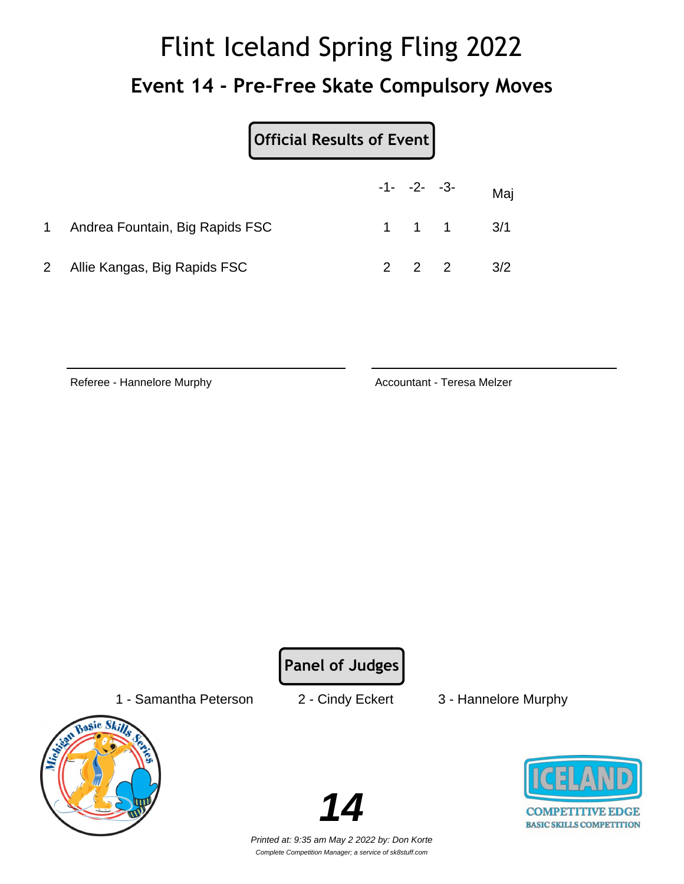# Flint Iceland Spring Fling 2022 **Event 14 - Pre-Free Skate Compulsory Moves**

| <b>Official Results of Event</b> |  |
|----------------------------------|--|
|                                  |  |

|             |                                 | $-1 - -2 - -3$ | Maj                           |
|-------------|---------------------------------|----------------|-------------------------------|
| $\mathbf 1$ | Andrea Fountain, Big Rapids FSC |                | $1 \quad 1 \quad 1 \quad 3/1$ |
|             | 2 Allie Kangas, Big Rapids FSC  |                | 2 2 2 $3/2$                   |

Referee - Hannelore Murphy **Accountant - Teresa Melzer** Accountant - Teresa Melzer

**Panel of Judges**

1 - Samantha Peterson 2 - Cindy Eckert 3 - Hannelore Murphy





**COMPETITIVE EDGE BASIC SKILLS COMPETITION**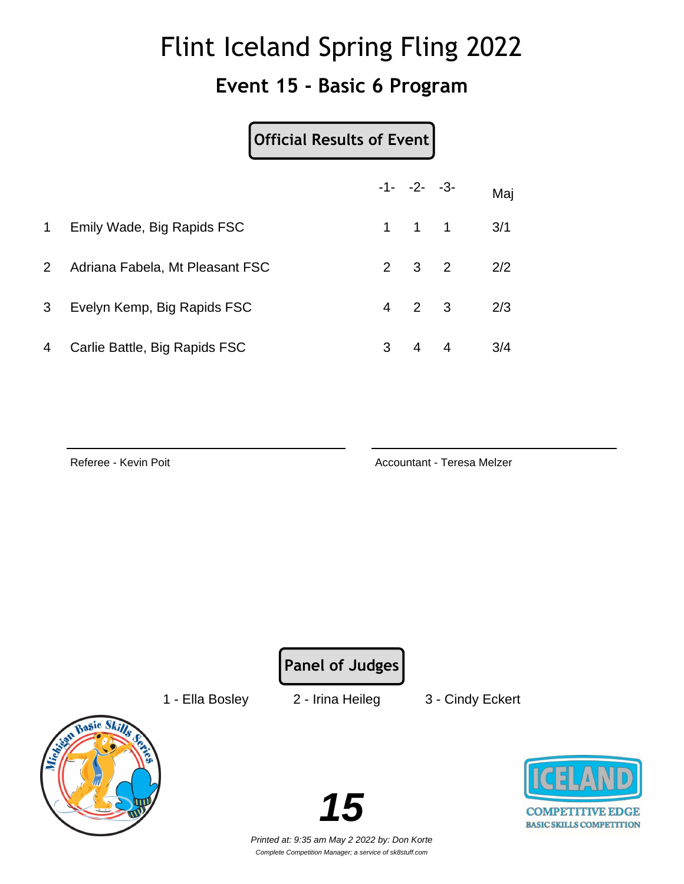#### **Event 15 - Basic 6 Program**

| <b>Official Results of Event</b> |
|----------------------------------|
|----------------------------------|

|                |                                 |   | $-1 - -2 - -3$      | Maj |
|----------------|---------------------------------|---|---------------------|-----|
| $\mathbf{1}$   | Emily Wade, Big Rapids FSC      |   | $1 \quad 1 \quad 1$ | 3/1 |
| $2^{\circ}$    | Adriana Fabela, Mt Pleasant FSC |   | $2 \quad 3 \quad 2$ | 2/2 |
| 3 <sup>1</sup> | Evelyn Kemp, Big Rapids FSC     |   | $4\quad 2\quad 3$   | 2/3 |
| $\overline{4}$ | Carlie Battle, Big Rapids FSC   | 3 | 4 4                 | 3/4 |

Referee - Kevin Poit **Accountant - Teresa Melzer** Accountant - Teresa Melzer

**Panel of Judges**

1 - Ella Bosley 2 - Irina Heileg 3 - Cindy Eckert





**COMPETITIVE EDGE BASIC SKILLS COMPETITION**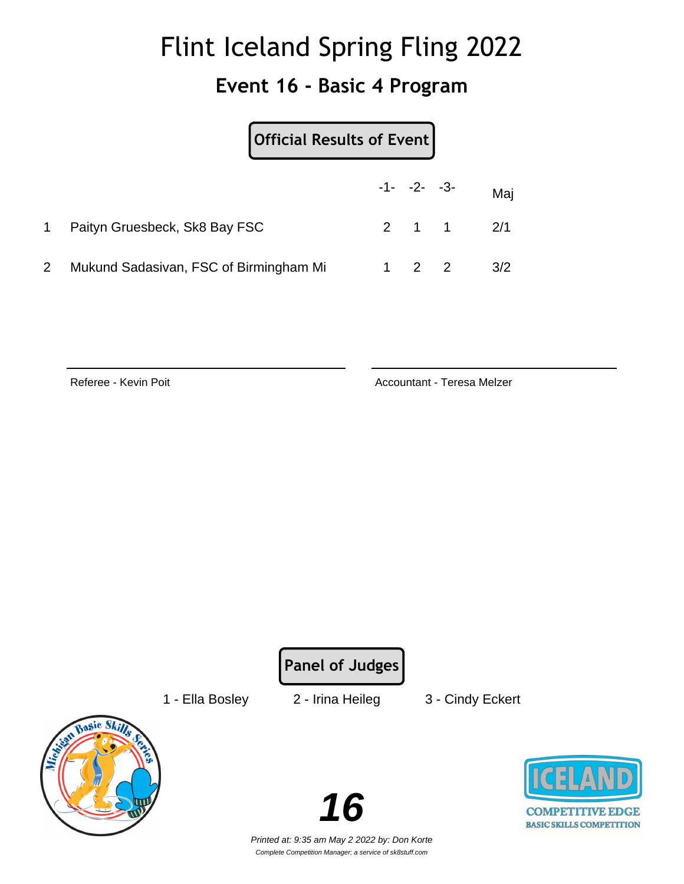#### **Event 16 - Basic 4 Program**

| Official Results of Event              |     |                   |     |
|----------------------------------------|-----|-------------------|-----|
|                                        |     | $-1 - -2 - -3$    | Maj |
| Paityn Gruesbeck, Sk8 Bay FSC          |     | $2 \t1 \t1 \t2/1$ |     |
| Mukund Sadasivan, FSC of Birmingham Mi | 2 2 |                   | 3/2 |

Referee - Kevin Poit **Accountant - Teresa Melzer** Accountant - Teresa Melzer

**Panel of Judges**

1 - Ella Bosley 2 - Irina Heileg 3 - Cindy Eckert



**16**

**COMPETITIVE EDGE BASIC SKILLS COMPETITION**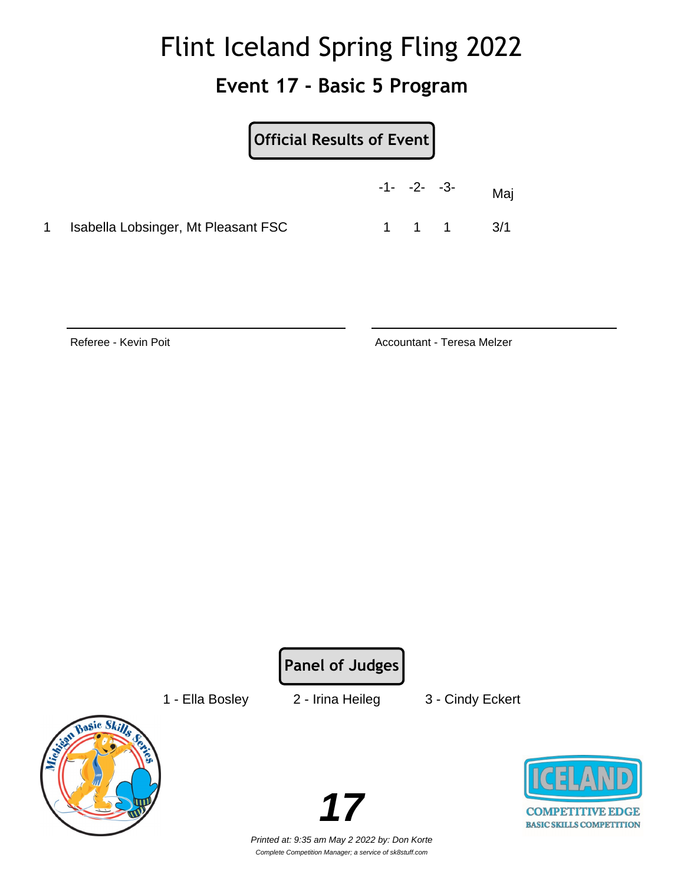#### **Event 17 - Basic 5 Program**

|                                     | Official Results of Event |  |                     |     |
|-------------------------------------|---------------------------|--|---------------------|-----|
|                                     | $-1 - -2 - -3$            |  |                     | Mai |
| Isabella Lobsinger, Mt Pleasant FSC |                           |  | $1 \quad 1 \quad 1$ | 3/1 |

Referee - Kevin Poit **Accountant - Teresa Melzer** Accountant - Teresa Melzer

**Panel of Judges**

1 - Ella Bosley 2 - Irina Heileg 3 - Cindy Eckert





**COMPETITIVE EDGE BASIC SKILLS COMPETITION**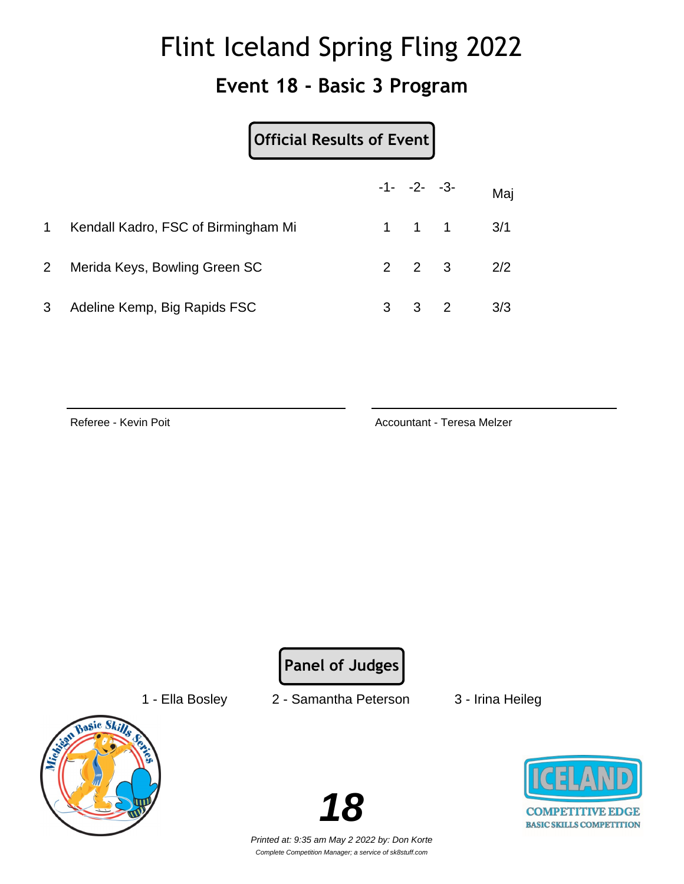#### **Event 18 - Basic 3 Program**

|                |                                     | Official Results of Event |   |                     |   |     |
|----------------|-------------------------------------|---------------------------|---|---------------------|---|-----|
|                |                                     |                           |   | $-1 - -2 - -3$      |   | Maj |
| 1              | Kendall Kadro, FSC of Birmingham Mi |                           |   | $1 \quad 1 \quad 1$ |   | 3/1 |
| $\overline{2}$ | Merida Keys, Bowling Green SC       |                           |   | $2 \quad 2 \quad 3$ |   | 2/2 |
| 3              | Adeline Kemp, Big Rapids FSC        |                           | 3 | 3                   | 2 | 3/3 |

Referee - Kevin Poit **Accountant - Teresa Melzer** Accountant - Teresa Melzer

**Panel of Judges**

- 
- 1 Ella Bosley 2 Samantha Peterson 3 Irina Heileg
	-





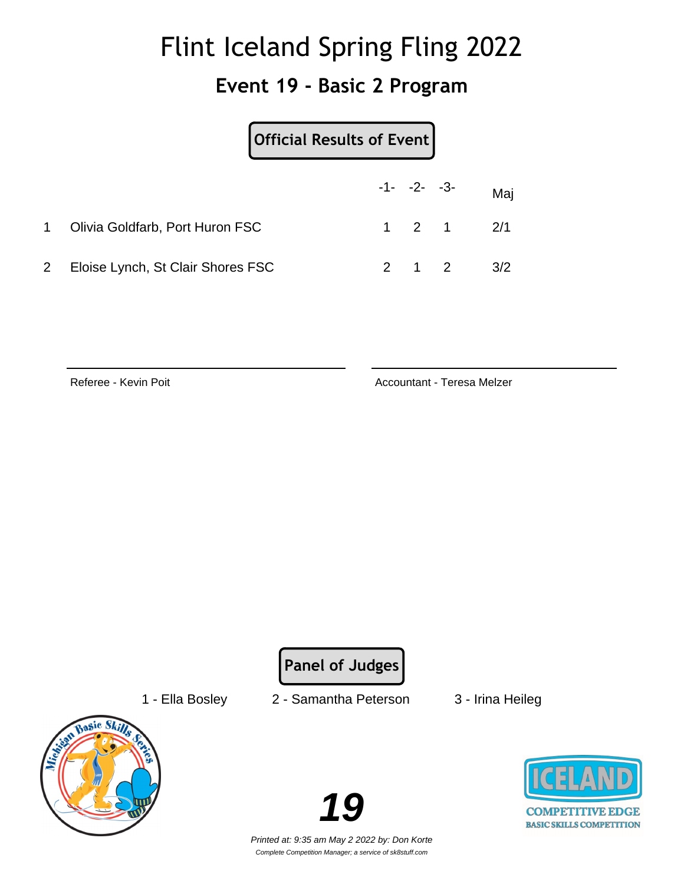#### **Event 19 - Basic 2 Program**

|              |                                   | Official Results of Event |                |                   |
|--------------|-----------------------------------|---------------------------|----------------|-------------------|
|              |                                   |                           | $-1 - -2 - -3$ | Maj               |
| $\mathbf 1$  | Olivia Goldfarb, Port Huron FSC   |                           |                | $1 \t2 \t1 \t2/1$ |
| $\mathbf{2}$ | Eloise Lynch, St Clair Shores FSC |                           | 2 1 2          | 3/2               |

Referee - Kevin Poit **Accountant - Teresa Melzer** Accountant - Teresa Melzer

**Panel of Judges**

- 
- 1 Ella Bosley 2 Samantha Peterson 3 Irina Heileg
	-







Printed at: 9:35 am May 2 2022 by: Don Korte Complete Competition Manager; a service of sk8stuff.com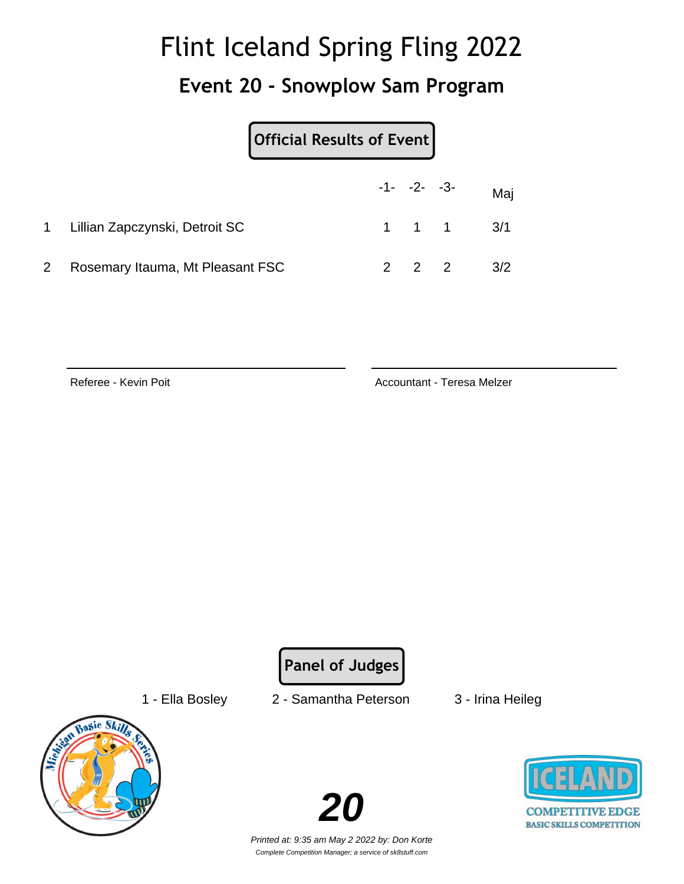#### **Event 20 - Snowplow Sam Program**

|                                  | Official Results of Event |                   |                               |
|----------------------------------|---------------------------|-------------------|-------------------------------|
|                                  |                           |                   | $-1 - -2 - -3 -$ Maj          |
| 1 Lillian Zapczynski, Detroit SC |                           |                   | $1 \quad 1 \quad 1 \quad 3/1$ |
| Rosemary Itauma, Mt Pleasant FSC |                           | $2\quad 2\quad 2$ | 3/2                           |

Referee - Kevin Poit **Accountant - Teresa Melzer** Accountant - Teresa Melzer

**Panel of Judges**

1 - Ella Bosley 2 - Samantha Peterson 3 - Irina Heileg





**COMPETITIVE EDGE BASIC SKILLS COMPETITION**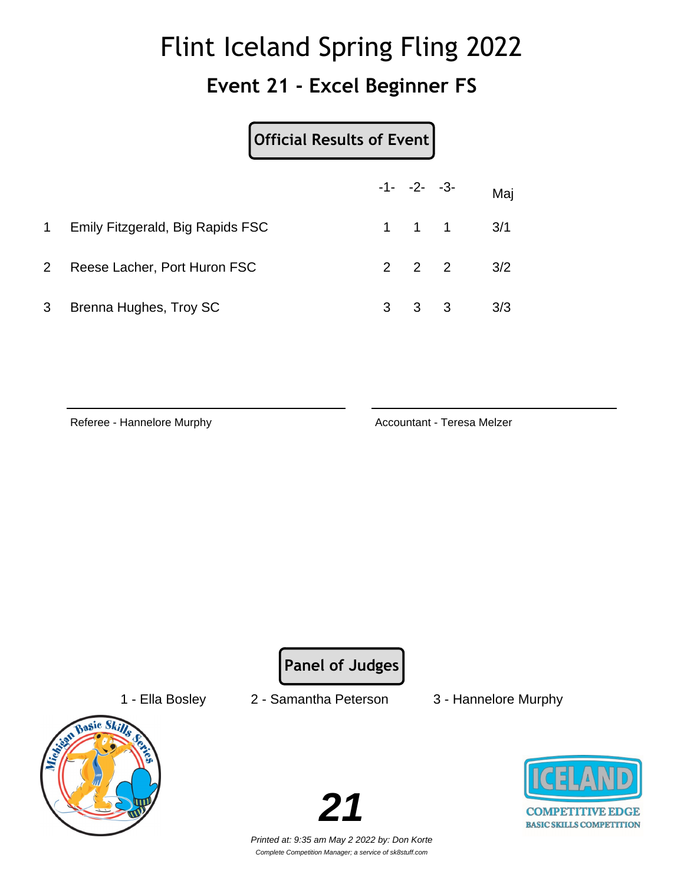#### **Event 21 - Excel Beginner FS**

|                |                                  | Official Results of Event |                     |                         |     |
|----------------|----------------------------------|---------------------------|---------------------|-------------------------|-----|
|                |                                  |                           | $-1 - -2 - -3$      |                         | Maj |
| 1              | Emily Fitzgerald, Big Rapids FSC |                           | $1 \quad 1 \quad 1$ |                         | 3/1 |
| $\overline{2}$ | Reese Lacher, Port Huron FSC     |                           | $2 \quad 2 \quad 2$ |                         | 3/2 |
| 3              | Brenna Hughes, Troy SC           | 3                         | 3                   | $\overline{\mathbf{3}}$ | 3/3 |

Referee - Hannelore Murphy **Accountant - Teresa Melzer** Accountant - Teresa Melzer

**Panel of Judges**



- 1 Ella Bosley 2 Samantha Peterson 3 Hannelore Murphy
	-



**COMPETITIVE EDGE BASIC SKILLS COMPETITION**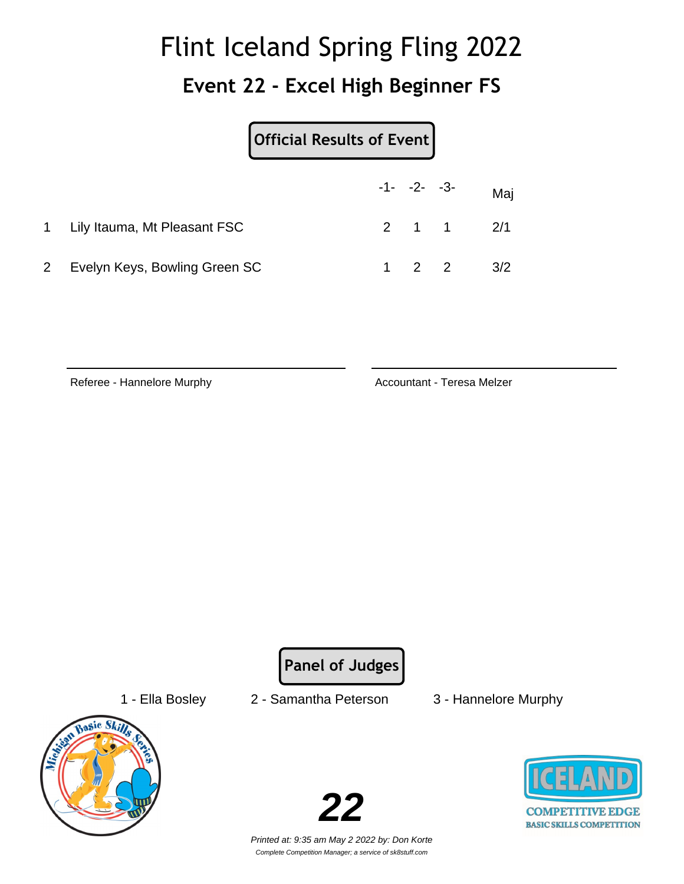#### **Event 22 - Excel High Beginner FS**

|                                | Official Results of Event |  |  |                          |
|--------------------------------|---------------------------|--|--|--------------------------|
|                                |                           |  |  | $-1$ - $-2$ - $-3$ - Maj |
| 1 Lily Itauma, Mt Pleasant FSC |                           |  |  | $2 \t1 \t1 \t2/1$        |
| Evelyn Keys, Bowling Green SC  |                           |  |  | $2 \t 2 \t 3/2$          |

Referee - Hannelore Murphy **Accountant - Teresa Melzer** Accountant - Teresa Melzer

**Panel of Judges**



- 1 Ella Bosley 2 Samantha Peterson 3 Hannelore Murphy
	-



**COMPETITIVE EDGE BASIC SKILLS COMPETITION**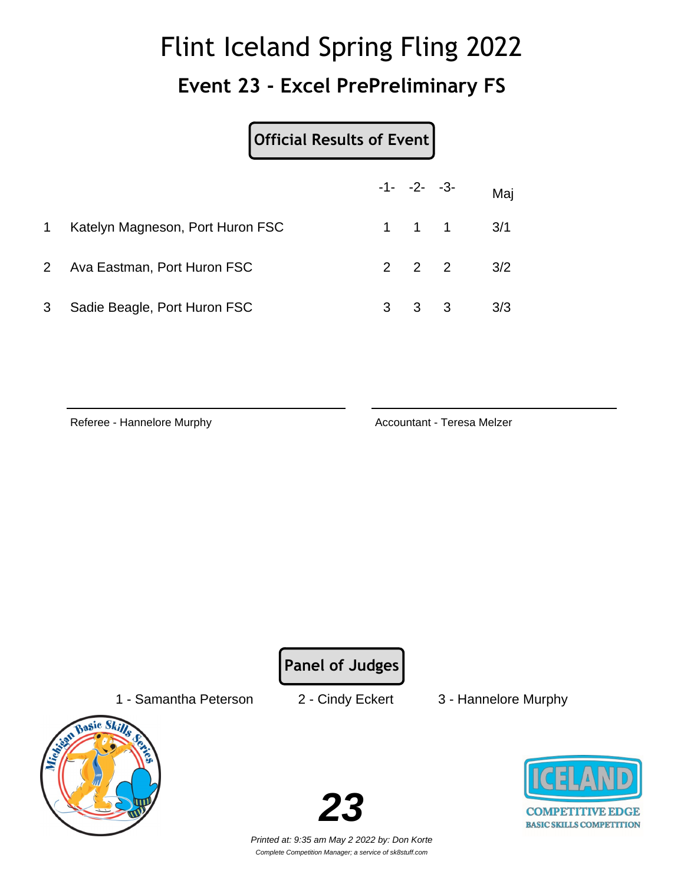#### **Event 23 - Excel PrePreliminary FS**

#### **Official Results of Event**

|                |                                  |   | $-1 - -2 - -3 -$ |                               | Maj |
|----------------|----------------------------------|---|------------------|-------------------------------|-----|
| $\mathbf{1}$   | Katelyn Magneson, Port Huron FSC |   |                  | $1 \quad 1 \quad 1 \quad 3/1$ |     |
| 2 <sup>1</sup> | Ava Eastman, Port Huron FSC      |   |                  | $2 \t2 \t2 \t3/2$             |     |
| 3              | Sadie Beagle, Port Huron FSC     | 3 | 3 3              |                               | 3/3 |

Referee - Hannelore Murphy **Accountant - Teresa Melzer** Accountant - Teresa Melzer

**Panel of Judges**

1 - Samantha Peterson 2 - Cindy Eckert 3 - Hannelore Murphy



**23**

**COMPETITIVE EDGE BASIC SKILLS COMPETITION**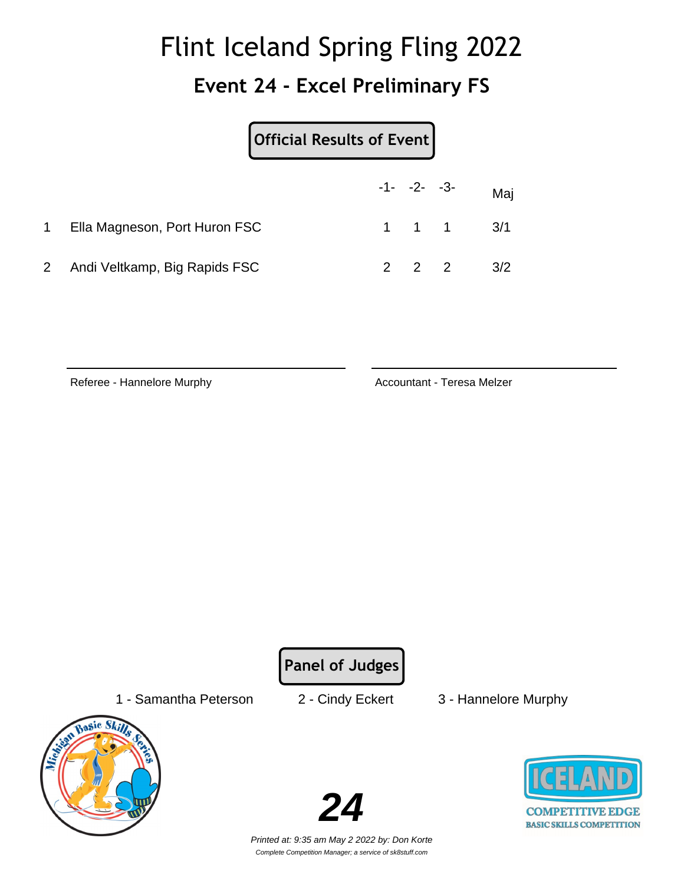#### **Event 24 - Excel Preliminary FS**

| Official Results of Event       |  |                |  |                               |
|---------------------------------|--|----------------|--|-------------------------------|
|                                 |  | $-1 - -2 - -3$ |  | Maj                           |
| Ella Magneson, Port Huron FSC   |  |                |  | $1 \quad 1 \quad 1 \quad 3/1$ |
| 2 Andi Veltkamp, Big Rapids FSC |  | $2 \quad 2$    |  | 3/2                           |

Referee - Hannelore Murphy **Accountant - Teresa Melzer** Accountant - Teresa Melzer

**Panel of Judges**

1 - Samantha Peterson 2 - Cindy Eckert 3 - Hannelore Murphy